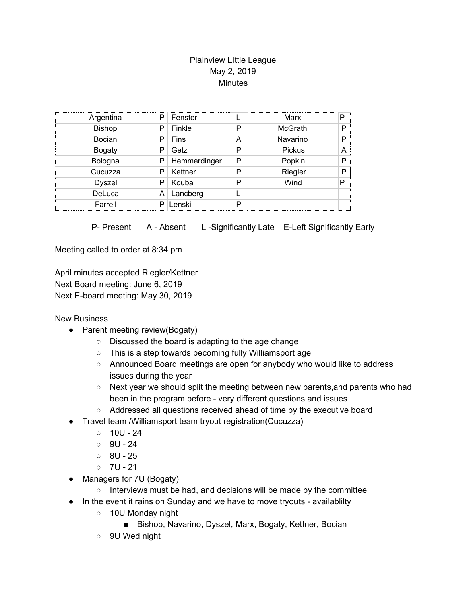## Plainview LIttle League May 2, 2019 **Minutes**

| Argentina     | Р | Fenster      |   | Marx           | P |
|---------------|---|--------------|---|----------------|---|
| <b>Bishop</b> | Р | Finkle       | P | <b>McGrath</b> |   |
| Bocian        | P | Fins         | А | Navarino       |   |
| <b>Bogaty</b> | P | Getz         | P | Pickus         |   |
| Bologna       | Р | Hemmerdinger | P | Popkin         | D |
| Cucuzza       | P | Kettner      | P | Riegler        | D |
| <b>Dyszel</b> | P | Kouba        | P | Wind           | P |
| DeLuca        | Α | Lancberg     |   |                |   |
| Farrell       | P | Lenski       | Þ |                |   |

P- Present A - Absent L-Significantly Late E-Left Significantly Early

Meeting called to order at 8:34 pm

April minutes accepted Riegler/Kettner Next Board meeting: June 6, 2019 Next E-board meeting: May 30, 2019

New Business

- Parent meeting review(Bogaty)
	- Discussed the board is adapting to the age change
	- This is a step towards becoming fully Williamsport age
	- Announced Board meetings are open for anybody who would like to address issues during the year
	- Next year we should split the meeting between new parents, and parents who had been in the program before - very different questions and issues
	- Addressed all questions received ahead of time by the executive board
- Travel team /Williamsport team tryout registration(Cucuzza)
	- $\circ$  10U 24
	- $\circ$  9U 24
	- $0.8U 25$
	- $0 \t 7U 21$
- Managers for 7U (Bogaty)
	- Interviews must be had, and decisions will be made by the committee
- In the event it rains on Sunday and we have to move tryouts availablilty
	- 10U Monday night
		- Bishop, Navarino, Dyszel, Marx, Bogaty, Kettner, Bocian
	- 9U Wed night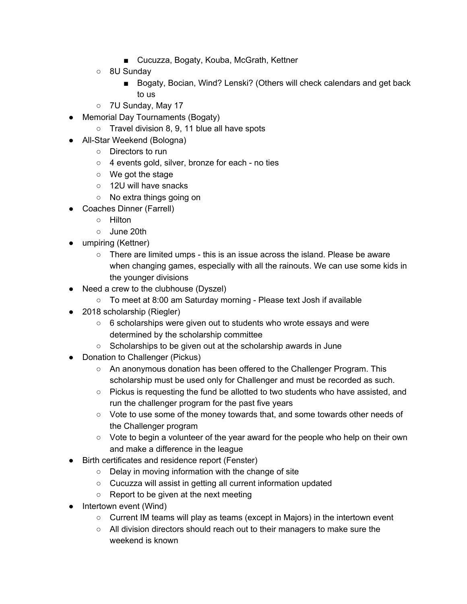- Cucuzza, Bogaty, Kouba, McGrath, Kettner
- 8U Sunday
	- Bogaty, Bocian, Wind? Lenski? (Others will check calendars and get back to us
- 7U Sunday, May 17
- Memorial Day Tournaments (Bogaty)
	- Travel division 8, 9, 11 blue all have spots
- All-Star Weekend (Bologna)
	- Directors to run
	- 4 events gold, silver, bronze for each no ties
	- We got the stage
	- 12U will have snacks
	- No extra things going on
- Coaches Dinner (Farrell)
	- Hilton
	- June 20th
- umpiring (Kettner)
	- There are limited umps this is an issue across the island. Please be aware when changing games, especially with all the rainouts. We can use some kids in the younger divisions
- Need a crew to the clubhouse (Dyszel)
	- To meet at 8:00 am Saturday morning Please text Josh if available
- 2018 scholarship (Riegler)
	- 6 scholarships were given out to students who wrote essays and were determined by the scholarship committee
	- Scholarships to be given out at the scholarship awards in June
- Donation to Challenger (Pickus)
	- An anonymous donation has been offered to the Challenger Program. This scholarship must be used only for Challenger and must be recorded as such.
	- Pickus is requesting the fund be allotted to two students who have assisted, and run the challenger program for the past five years
	- Vote to use some of the money towards that, and some towards other needs of the Challenger program
	- Vote to begin a volunteer of the year award for the people who help on their own and make a difference in the league
- Birth certificates and residence report (Fenster)
	- Delay in moving information with the change of site
	- Cucuzza will assist in getting all current information updated
	- Report to be given at the next meeting
- Intertown event (Wind)
	- $\circ$  Current IM teams will play as teams (except in Majors) in the intertown event
	- All division directors should reach out to their managers to make sure the weekend is known